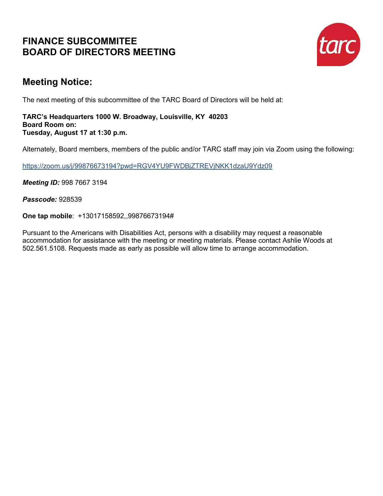## **FINANCE SUBCOMMITEE BOARD OF DIRECTORS MEETING**



## **Meeting Notice:**

The next meeting of this subcommittee of the TARC Board of Directors will be held at:

#### **TARC's Headquarters 1000 W. Broadway, Louisville, KY 40203 Board Room on: Tuesday, August 17 at 1:30 p.m.**

Alternately, Board members, members of the public and/or TARC staff may join via Zoom using the following:

<https://zoom.us/j/99876673194?pwd=RGV4YU9FWDBjZTREVjNKK1dzaU9Ydz09>

*Meeting ID:* 998 7667 3194

*Passcode:* 928539

**One tap mobile**: +13017158592,,99876673194#

Pursuant to the Americans with Disabilities Act, persons with a disability may request a reasonable accommodation for assistance with the meeting or meeting materials. Please contact Ashlie Woods at 502.561.5108. Requests made as early as possible will allow time to arrange accommodation.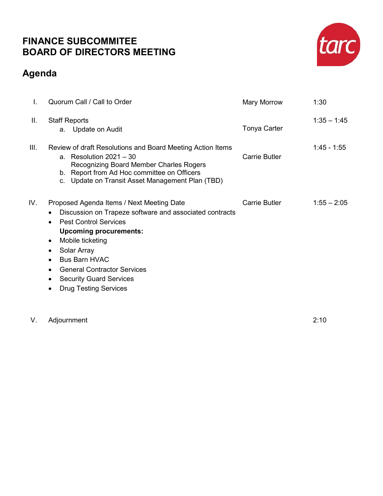### **FINANCE SUBCOMMITEE BOARD OF DIRECTORS MEETING**

# **Agenda**



V. Adjournment 2:10